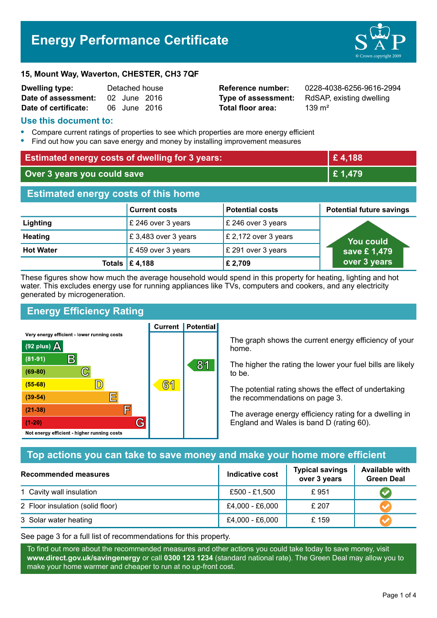# **Energy Performance Certificate**



#### **15, Mount Way, Waverton, CHESTER, CH3 7QF**

| <b>Dwelling type:</b> | Detached house |              |  |
|-----------------------|----------------|--------------|--|
| Date of assessment:   |                | 02 June 2016 |  |
| Date of certificate:  |                | 06 June 2016 |  |

**Total floor area:** 139 m<sup>2</sup>

**Reference number:** 0228-4038-6256-9616-2994 **Type of assessment:** RdSAP, existing dwelling

#### **Use this document to:**

- **•** Compare current ratings of properties to see which properties are more energy efficient
- **•** Find out how you can save energy and money by installing improvement measures

| <b>Estimated energy costs of dwelling for 3 years:</b> |                           | £4,188                 |                                 |
|--------------------------------------------------------|---------------------------|------------------------|---------------------------------|
| Over 3 years you could save                            |                           | £1,479                 |                                 |
| <b>Estimated energy costs of this home</b>             |                           |                        |                                 |
|                                                        | <b>Current costs</b>      | <b>Potential costs</b> | <b>Potential future savings</b> |
| Lighting                                               | £ 246 over 3 years        | £ 246 over 3 years     |                                 |
| <b>Heating</b>                                         | £3,483 over 3 years       | £ 2,172 over 3 years   | <b>You could</b>                |
| <b>Hot Water</b>                                       | £459 over 3 years         | £ 291 over 3 years     | save £1,479                     |
|                                                        | Totals $\mathsf{E}$ 4,188 | £ 2,709                | over 3 years                    |

These figures show how much the average household would spend in this property for heating, lighting and hot water. This excludes energy use for running appliances like TVs, computers and cookers, and any electricity generated by microgeneration.

**Current | Potential** 

## **Energy Efficiency Rating**

Very energy efficient - lower running costs



The graph shows the current energy efficiency of your home.

The higher the rating the lower your fuel bills are likely to be.

The potential rating shows the effect of undertaking the recommendations on page 3.

The average energy efficiency rating for a dwelling in England and Wales is band D (rating 60).

## **Top actions you can take to save money and make your home more efficient**

| Recommended measures             | Indicative cost | <b>Typical savings</b><br>over 3 years | <b>Available with</b><br><b>Green Deal</b> |
|----------------------------------|-----------------|----------------------------------------|--------------------------------------------|
| 1 Cavity wall insulation         | £500 - £1,500   | £951                                   |                                            |
| 2 Floor insulation (solid floor) | £4,000 - £6,000 | £ 207                                  |                                            |
| 3 Solar water heating            | £4,000 - £6,000 | £159                                   |                                            |

See page 3 for a full list of recommendations for this property.

To find out more about the recommended measures and other actions you could take today to save money, visit **www.direct.gov.uk/savingenergy** or call **0300 123 1234** (standard national rate). The Green Deal may allow you to make your home warmer and cheaper to run at no up-front cost.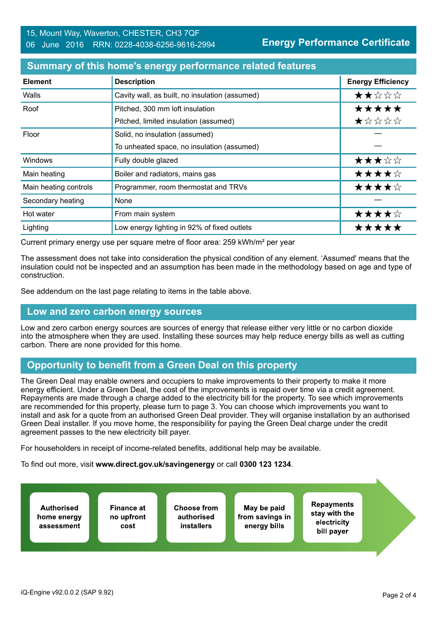#### **Summary of this home's energy performance related features**

| <b>Element</b>        | <b>Description</b>                             | <b>Energy Efficiency</b> |
|-----------------------|------------------------------------------------|--------------------------|
| Walls                 | Cavity wall, as built, no insulation (assumed) | ★★☆☆☆                    |
| Roof                  | Pitched, 300 mm loft insulation                | *****                    |
|                       | Pitched, limited insulation (assumed)          | ★☆☆☆☆                    |
| Floor                 | Solid, no insulation (assumed)                 |                          |
|                       | To unheated space, no insulation (assumed)     |                          |
| Windows               | Fully double glazed                            | ★★★☆☆                    |
| Main heating          | Boiler and radiators, mains gas                | ★★★★☆                    |
| Main heating controls | Programmer, room thermostat and TRVs           | ★★★★☆                    |
| Secondary heating     | None                                           |                          |
| Hot water             | From main system                               | ★★★★☆                    |
| Lighting              | Low energy lighting in 92% of fixed outlets    | *****                    |

Current primary energy use per square metre of floor area: 259 kWh/m² per year

The assessment does not take into consideration the physical condition of any element. 'Assumed' means that the insulation could not be inspected and an assumption has been made in the methodology based on age and type of construction.

See addendum on the last page relating to items in the table above.

#### **Low and zero carbon energy sources**

Low and zero carbon energy sources are sources of energy that release either very little or no carbon dioxide into the atmosphere when they are used. Installing these sources may help reduce energy bills as well as cutting carbon. There are none provided for this home.

## **Opportunity to benefit from a Green Deal on this property**

The Green Deal may enable owners and occupiers to make improvements to their property to make it more energy efficient. Under a Green Deal, the cost of the improvements is repaid over time via a credit agreement. Repayments are made through a charge added to the electricity bill for the property. To see which improvements are recommended for this property, please turn to page 3. You can choose which improvements you want to install and ask for a quote from an authorised Green Deal provider. They will organise installation by an authorised Green Deal installer. If you move home, the responsibility for paying the Green Deal charge under the credit agreement passes to the new electricity bill payer.

For householders in receipt of income-related benefits, additional help may be available.

To find out more, visit **www.direct.gov.uk/savingenergy** or call **0300 123 1234**.

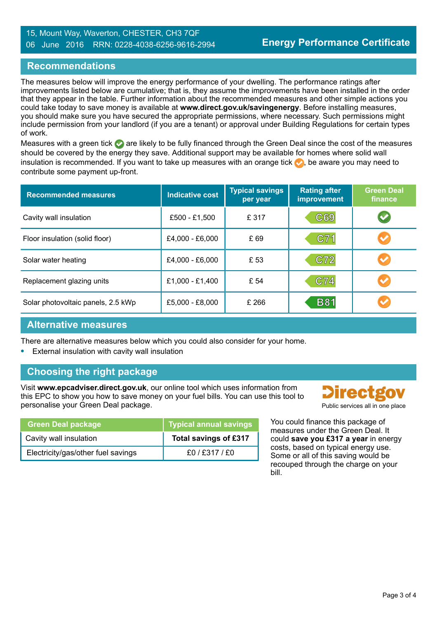#### 15, Mount Way, Waverton, CHESTER, CH3 7QF 06 June 2016 RRN: 0228-4038-6256-9616-2994

#### **Recommendations**

The measures below will improve the energy performance of your dwelling. The performance ratings after improvements listed below are cumulative; that is, they assume the improvements have been installed in the order that they appear in the table. Further information about the recommended measures and other simple actions you could take today to save money is available at **www.direct.gov.uk/savingenergy**. Before installing measures, you should make sure you have secured the appropriate permissions, where necessary. Such permissions might include permission from your landlord (if you are a tenant) or approval under Building Regulations for certain types of work.

Measures with a green tick are likely to be fully financed through the Green Deal since the cost of the measures should be covered by the energy they save. Additional support may be available for homes where solid wall insulation is recommended. If you want to take up measures with an orange tick  $\bullet$ , be aware you may need to contribute some payment up-front.

| <b>Recommended measures</b>        | <b>Indicative cost</b> | <b>Typical savings</b><br>per year | <b>Rating after</b><br>improvement | <b>Green Deal</b><br>finance |
|------------------------------------|------------------------|------------------------------------|------------------------------------|------------------------------|
| Cavity wall insulation             | £500 - £1,500          | £ 317                              | C69                                | $\blacktriangledown$         |
| Floor insulation (solid floor)     | £4,000 - £6,000        | £69                                | C71                                | $\blacktriangledown$         |
| Solar water heating                | £4,000 - £6,000        | £ 53                               | C72                                |                              |
| Replacement glazing units          | £1,000 - £1,400        | £ 54                               | C74                                |                              |
| Solar photovoltaic panels, 2.5 kWp | $£5,000 - £8,000$      | £ 266                              | <b>B81</b>                         |                              |

#### **Alternative measures**

There are alternative measures below which you could also consider for your home.

**•** External insulation with cavity wall insulation

## **Choosing the right package**

Visit **www.epcadviser.direct.gov.uk**, our online tool which uses information from this EPC to show you how to save money on your fuel bills. You can use this tool to personalise your Green Deal package. **Public services all in one place** part of the place of the place of the place

| <b>Green Deal package</b>          | <b>Typical annual savings</b> |
|------------------------------------|-------------------------------|
| Cavity wall insulation             | Total savings of £317         |
| Electricity/gas/other fuel savings | f0 / f317 / f0                |

Direct:

You could finance this package of measures under the Green Deal. It could **save you £317 a year** in energy costs, based on typical energy use. Some or all of this saving would be recouped through the charge on your bill.